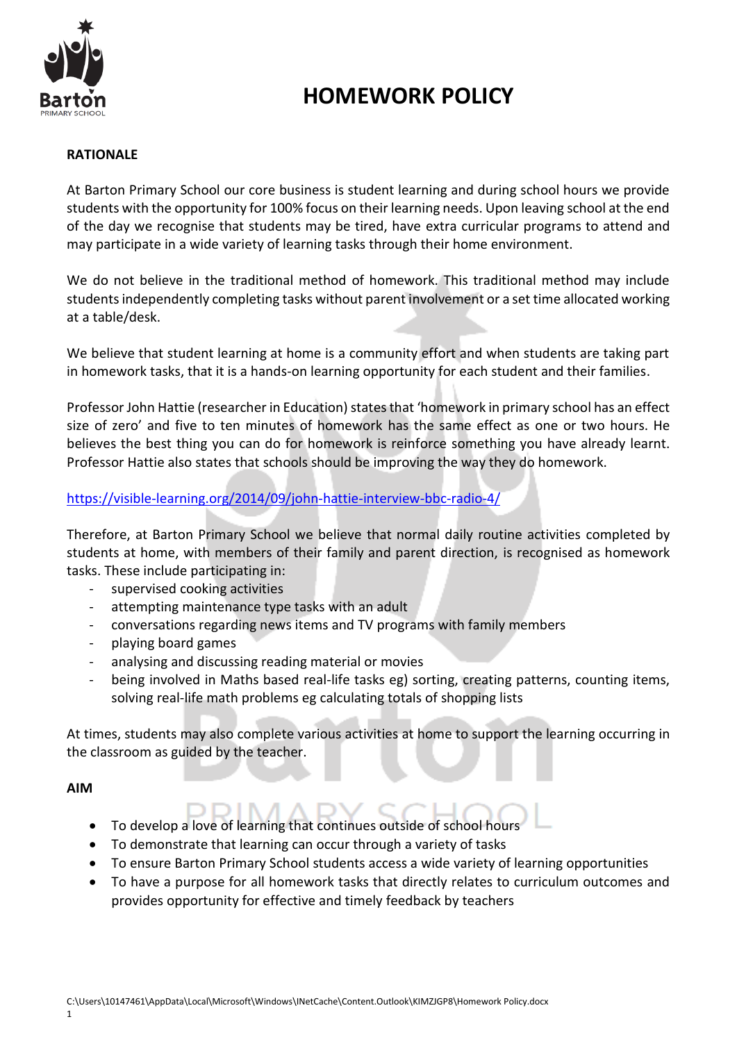

# **HOMEWORK POLICY**

### **RATIONALE**

At Barton Primary School our core business is student learning and during school hours we provide students with the opportunity for 100% focus on their learning needs. Upon leaving school at the end of the day we recognise that students may be tired, have extra curricular programs to attend and may participate in a wide variety of learning tasks through their home environment.

We do not believe in the traditional method of homework. This traditional method may include students independently completing tasks without parent involvement or a set time allocated working at a table/desk.

We believe that student learning at home is a community effort and when students are taking part in homework tasks, that it is a hands-on learning opportunity for each student and their families.

Professor John Hattie (researcher in Education) states that 'homework in primary school has an effect size of zero' and five to ten minutes of homework has the same effect as one or two hours. He believes the best thing you can do for homework is reinforce something you have already learnt. Professor Hattie also states that schools should be improving the way they do homework.

## <https://visible-learning.org/2014/09/john-hattie-interview-bbc-radio-4/>

Therefore, at Barton Primary School we believe that normal daily routine activities completed by students at home, with members of their family and parent direction, is recognised as homework tasks. These include participating in:

- supervised cooking activities
- attempting maintenance type tasks with an adult
- conversations regarding news items and TV programs with family members
- playing board games
- analysing and discussing reading material or movies
- being involved in Maths based real-life tasks eg) sorting, creating patterns, counting items, solving real-life math problems eg calculating totals of shopping lists

At times, students may also complete various activities at home to support the learning occurring in the classroom as guided by the teacher.

#### **AIM**

- To develop a love of learning that continues outside of school hours
- To demonstrate that learning can occur through a variety of tasks
- To ensure Barton Primary School students access a wide variety of learning opportunities
- To have a purpose for all homework tasks that directly relates to curriculum outcomes and provides opportunity for effective and timely feedback by teachers